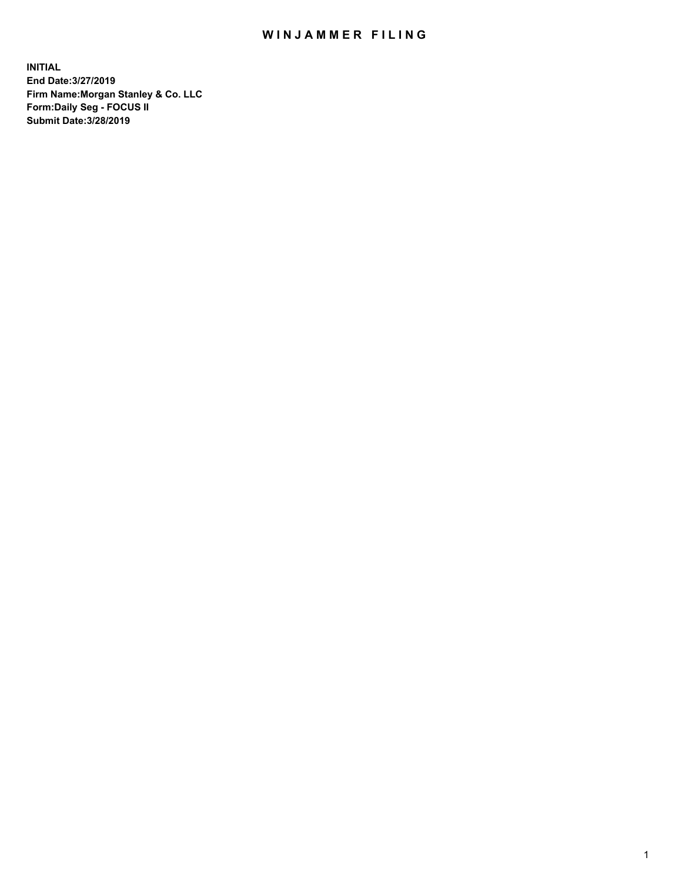## WIN JAMMER FILING

**INITIAL End Date:3/27/2019 Firm Name:Morgan Stanley & Co. LLC Form:Daily Seg - FOCUS II Submit Date:3/28/2019**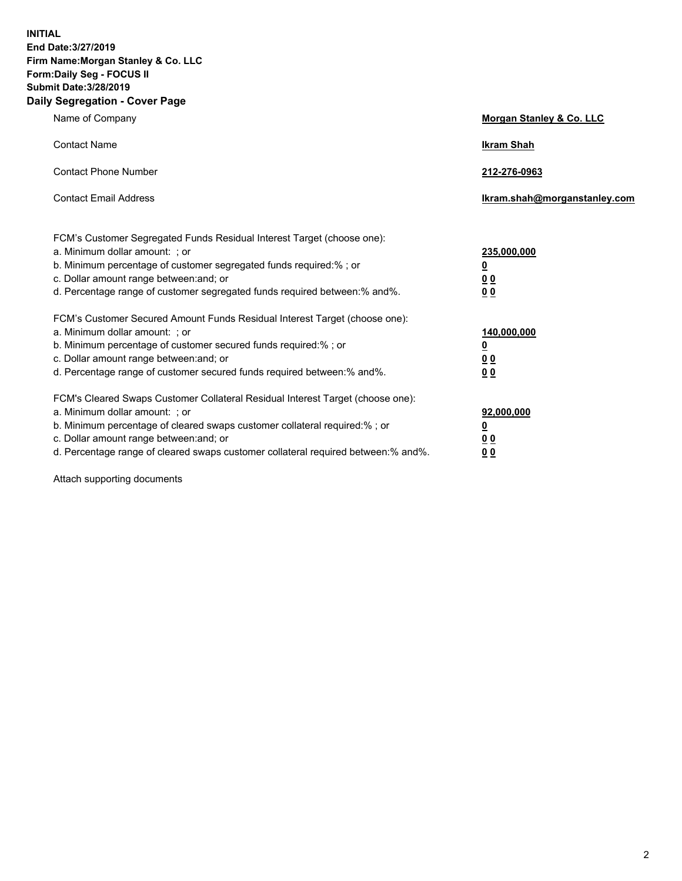**INITIAL End Date:3/27/2019 Firm Name:Morgan Stanley & Co. LLC Form:Daily Seg - FOCUS II Submit Date:3/28/2019 Daily Segregation - Cover Page**

| Name of Company                                                                   | Morgan Stanley & Co. LLC     |
|-----------------------------------------------------------------------------------|------------------------------|
| <b>Contact Name</b>                                                               | <b>Ikram Shah</b>            |
| <b>Contact Phone Number</b>                                                       | 212-276-0963                 |
| <b>Contact Email Address</b>                                                      | Ikram.shah@morganstanley.com |
| FCM's Customer Segregated Funds Residual Interest Target (choose one):            |                              |
| a. Minimum dollar amount: ; or                                                    | 235,000,000                  |
| b. Minimum percentage of customer segregated funds required:% ; or                | <u>0</u>                     |
| c. Dollar amount range between: and; or                                           | <u>0 0</u>                   |
| d. Percentage range of customer segregated funds required between: % and %.       | 00                           |
| FCM's Customer Secured Amount Funds Residual Interest Target (choose one):        |                              |
| a. Minimum dollar amount: ; or                                                    | 140,000,000                  |
| b. Minimum percentage of customer secured funds required:%; or                    | <u>0</u>                     |
| c. Dollar amount range between: and; or                                           | 0 <sub>0</sub>               |
| d. Percentage range of customer secured funds required between:% and%.            | 0 <sub>0</sub>               |
| FCM's Cleared Swaps Customer Collateral Residual Interest Target (choose one):    |                              |
| a. Minimum dollar amount: ; or                                                    | 92,000,000                   |
| b. Minimum percentage of cleared swaps customer collateral required:% ; or        | <u>0</u>                     |
| c. Dollar amount range between: and; or                                           | 0 Q                          |
| d. Percentage range of cleared swaps customer collateral required between:% and%. | 00                           |

Attach supporting documents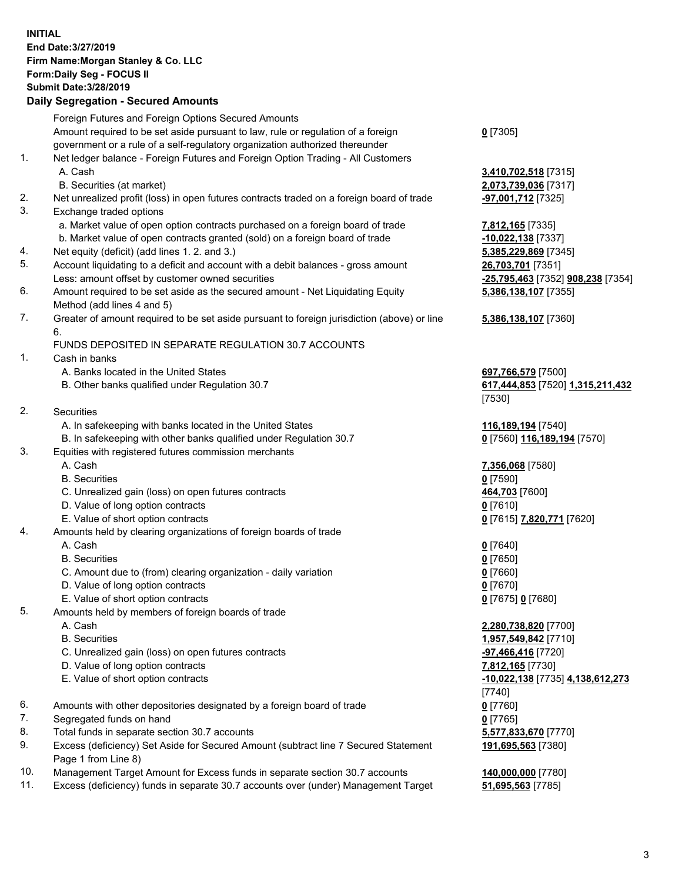## **INITIAL End Date:3/27/2019 Firm Name:Morgan Stanley & Co. LLC Form:Daily Seg - FOCUS II Submit Date:3/28/2019 Daily Segregation - Secured Amounts**

Foreign Futures and Foreign Options Secured Amounts Amount required to be set aside pursuant to law, rule or regulation of a foreign government or a rule of a self-regulatory organization authorized thereunder 1. Net ledger balance - Foreign Futures and Foreign Option Trading - All Customers A. Cash **3,410,702,518** [7315] B. Securities (at market) **2,073,739,036** [7317] 2. Net unrealized profit (loss) in open futures contracts traded on a foreign board of trade **-97,001,712** [7325] 3. Exchange traded options a. Market value of open option contracts purchased on a foreign board of trade **7,812,165** [7335] b. Market value of open contracts granted (sold) on a foreign board of trade **-10,022,138** [7337] 4. Net equity (deficit) (add lines 1. 2. and 3.) **5,385,229,869** [7345] 5. Account liquidating to a deficit and account with a debit balances - gross amount **26,703,701** [7351] Less: amount offset by customer owned securities **-25,795,463** [7352] **908,238** [7354] 6. Amount required to be set aside as the secured amount - Net Liquidating Equity Method (add lines 4 and 5) 7. Greater of amount required to be set aside pursuant to foreign jurisdiction (above) or line 6. FUNDS DEPOSITED IN SEPARATE REGULATION 30.7 ACCOUNTS 1. Cash in banks A. Banks located in the United States **697,766,579** [7500] B. Other banks qualified under Regulation 30.7 **617,444,853** [7520] **1,315,211,432** [7530] 2. Securities A. In safekeeping with banks located in the United States **116,189,194** [7540] B. In safekeeping with other banks qualified under Regulation 30.7 **0** [7560] **116,189,194** [7570] 3. Equities with registered futures commission merchants A. Cash **7,356,068** [7580] B. Securities **0** [7590] C. Unrealized gain (loss) on open futures contracts **464,703** [7600] D. Value of long option contracts **0** [7610] E. Value of short option contracts **0** [7615] **7,820,771** [7620] 4. Amounts held by clearing organizations of foreign boards of trade A. Cash **0** [7640] B. Securities **0** [7650] C. Amount due to (from) clearing organization - daily variation **0** [7660] D. Value of long option contracts **0** [7670] E. Value of short option contracts **0** [7675] **0** [7680] 5. Amounts held by members of foreign boards of trade A. Cash **2,280,738,820** [7700] B. Securities **1,957,549,842** [7710] C. Unrealized gain (loss) on open futures contracts **-97,466,416** [7720] D. Value of long option contracts **7,812,165** [7730] E. Value of short option contracts **-10,022,138** [7735] **4,138,612,273** [7740] 6. Amounts with other depositories designated by a foreign board of trade **0** [7760] 7. Segregated funds on hand **0** [7765] 8. Total funds in separate section 30.7 accounts **5,577,833,670** [7770]

9. Excess (deficiency) Set Aside for Secured Amount (subtract line 7 Secured Statement Page 1 from Line 8)

- 10. Management Target Amount for Excess funds in separate section 30.7 accounts **140,000,000** [7780]
- 11. Excess (deficiency) funds in separate 30.7 accounts over (under) Management Target **51,695,563** [7785]

**0** [7305]

**5,386,138,107** [7355]

**5,386,138,107** [7360]

**191,695,563** [7380]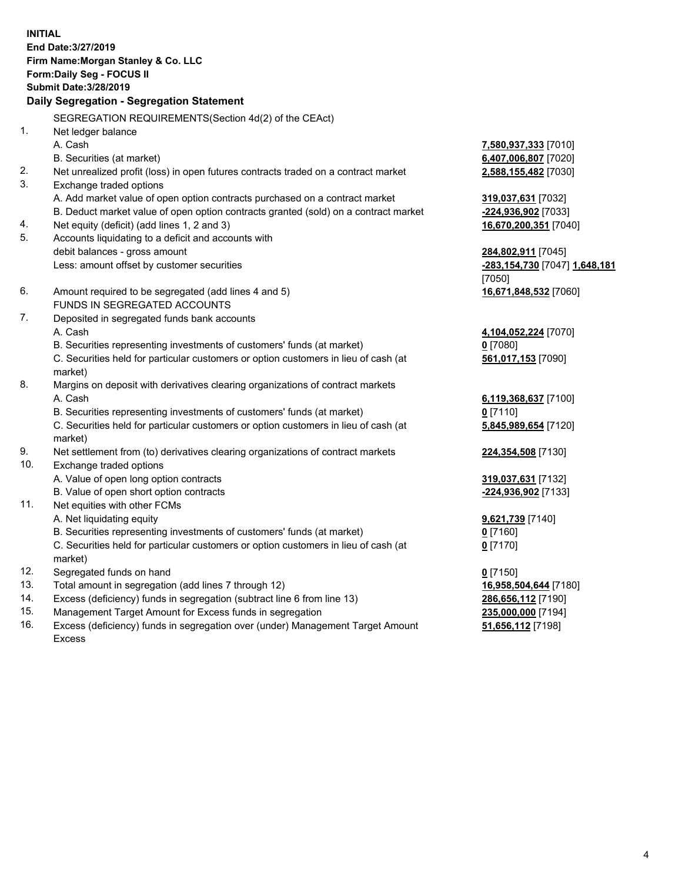**INITIAL End Date:3/27/2019 Firm Name:Morgan Stanley & Co. LLC Form:Daily Seg - FOCUS II Submit Date:3/28/2019 Daily Segregation - Segregation Statement** SEGREGATION REQUIREMENTS(Section 4d(2) of the CEAct) 1. Net ledger balance A. Cash **7,580,937,333** [7010] B. Securities (at market) **6,407,006,807** [7020] 2. Net unrealized profit (loss) in open futures contracts traded on a contract market **2,588,155,482** [7030] 3. Exchange traded options A. Add market value of open option contracts purchased on a contract market **319,037,631** [7032] B. Deduct market value of open option contracts granted (sold) on a contract market **-224,936,902** [7033] 4. Net equity (deficit) (add lines 1, 2 and 3) **16,670,200,351** [7040] 5. Accounts liquidating to a deficit and accounts with debit balances - gross amount **284,802,911** [7045] Less: amount offset by customer securities **-283,154,730** [7047] **1,648,181** [7050] 6. Amount required to be segregated (add lines 4 and 5) **16,671,848,532** [7060] FUNDS IN SEGREGATED ACCOUNTS 7. Deposited in segregated funds bank accounts A. Cash **4,104,052,224** [7070] B. Securities representing investments of customers' funds (at market) **0** [7080] C. Securities held for particular customers or option customers in lieu of cash (at market) **561,017,153** [7090] 8. Margins on deposit with derivatives clearing organizations of contract markets A. Cash **6,119,368,637** [7100] B. Securities representing investments of customers' funds (at market) **0** [7110] C. Securities held for particular customers or option customers in lieu of cash (at market) **5,845,989,654** [7120] 9. Net settlement from (to) derivatives clearing organizations of contract markets **224,354,508** [7130] 10. Exchange traded options A. Value of open long option contracts **319,037,631** [7132] B. Value of open short option contracts **-224,936,902** [7133] 11. Net equities with other FCMs A. Net liquidating equity **9,621,739** [7140] B. Securities representing investments of customers' funds (at market) **0** [7160] C. Securities held for particular customers or option customers in lieu of cash (at market) **0** [7170] 12. Segregated funds on hand **0** [7150] 13. Total amount in segregation (add lines 7 through 12) **16,958,504,644** [7180] 14. Excess (deficiency) funds in segregation (subtract line 6 from line 13) **286,656,112** [7190]

- 15. Management Target Amount for Excess funds in segregation **235,000,000** [7194]
- 16. Excess (deficiency) funds in segregation over (under) Management Target Amount Excess

**51,656,112** [7198]